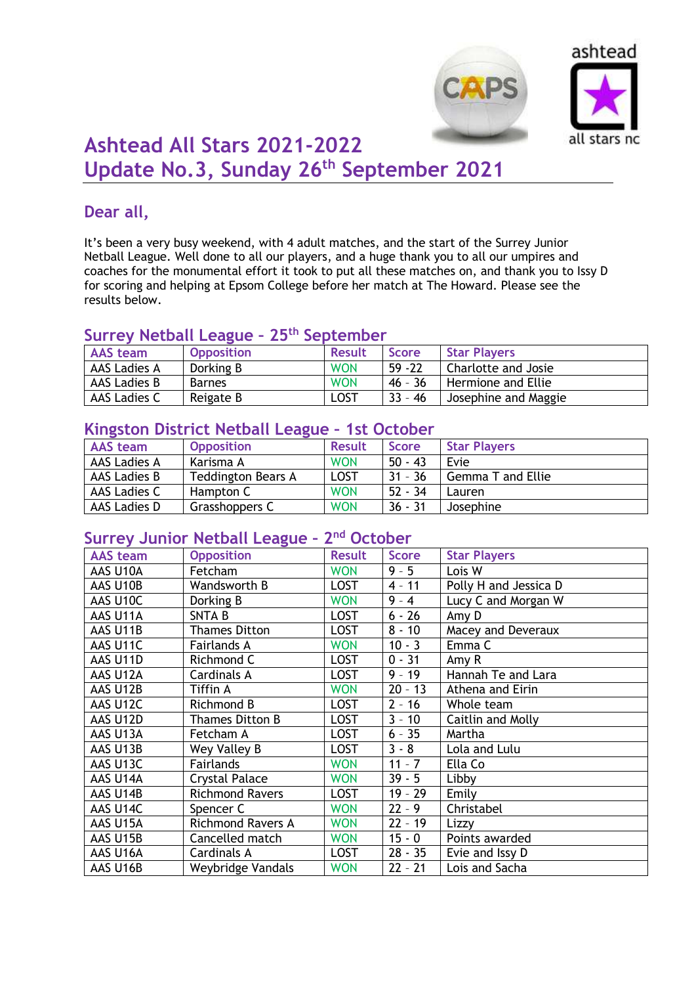



# **Ashtead All Stars 2021-2022 Update No.3, Sunday 26th September 2021**

### **Dear all,**

It's been a very busy weekend, with 4 adult matches, and the start of the Surrey Junior Netball League. Well done to all our players, and a huge thank you to all our umpires and coaches for the monumental effort it took to put all these matches on, and thank you to Issy D for scoring and helping at Epsom College before her match at The Howard. Please see the results below.

#### **Surrey Netball League – 25th September**

| <b>AAS</b> team | <b>Opposition</b> | <b>Result</b> | <b>Score</b> | <b>Star Players</b>  |
|-----------------|-------------------|---------------|--------------|----------------------|
| AAS Ladies A    | Dorking B         | <b>WON</b>    | $59 - 22$    | Charlotte and Josie  |
| AAS Ladies B    | <b>Barnes</b>     | <b>WON</b>    | $46 - 36$    | Hermione and Ellie   |
| AAS Ladies C    | Reigate B         | LOST          | $33 - 46$    | Josephine and Maggie |

#### **Kingston District Netball League – 1st October**

| <b>AAS</b> team | <b>Opposition</b>         | <b>Result</b> | <b>Score</b> | <b>Star Players</b>      |
|-----------------|---------------------------|---------------|--------------|--------------------------|
| AAS Ladies A    | Karisma A                 | <b>WON</b>    | $50 - 43$    | Evie                     |
| AAS Ladies B    | <b>Teddington Bears A</b> | <b>LOST</b>   | $31 - 36$    | <b>Gemma T and Ellie</b> |
| AAS Ladies C    | Hampton C                 | <b>WON</b>    | $52 - 34$    | Lauren                   |
| AAS Ladies D    | Grasshoppers C            | <b>WON</b>    | $36 - 31$    | Josephine                |

#### **Surrey Junior Netball League – 2 nd October**

| <b>AAS team</b> | <b>Opposition</b>        | <b>Result</b> | <b>Score</b> | <b>Star Players</b>   |
|-----------------|--------------------------|---------------|--------------|-----------------------|
| AAS U10A        | Fetcham                  | <b>WON</b>    | $9 - 5$      | Lois W                |
| AAS U10B        | Wandsworth B             | <b>LOST</b>   | $4 - 11$     | Polly H and Jessica D |
| AAS U10C        | Dorking B                | <b>WON</b>    | $9 - 4$      | Lucy C and Morgan W   |
| AAS U11A        | <b>SNTAB</b>             | <b>LOST</b>   | $6 - 26$     | Amy D                 |
| AAS U11B        | <b>Thames Ditton</b>     | <b>LOST</b>   | $8 - 10$     | Macey and Deveraux    |
| AAS U11C        | Fairlands A              | <b>WON</b>    | $10 - 3$     | Emma <sub>C</sub>     |
| AAS U11D        | Richmond C               | <b>LOST</b>   | $0 - 31$     | Amy R                 |
| AAS U12A        | Cardinals A              | <b>LOST</b>   | $9 - 19$     | Hannah Te and Lara    |
| AAS U12B        | Tiffin A                 | <b>WON</b>    | $20 - 13$    | Athena and Eirin      |
| AAS U12C        | Richmond B               | <b>LOST</b>   | $2 - 16$     | Whole team            |
| AAS U12D        | Thames Ditton B          | <b>LOST</b>   | $3 - 10$     | Caitlin and Molly     |
| AAS U13A        | Fetcham A                | <b>LOST</b>   | $6 - 35$     | Martha                |
| AAS U13B        | Wey Valley B             | <b>LOST</b>   | $3 - 8$      | Lola and Lulu         |
| AAS U13C        | Fairlands                | <b>WON</b>    | $11 - 7$     | Ella Co               |
| AAS U14A        | <b>Crystal Palace</b>    | <b>WON</b>    | $39 - 5$     | Libby                 |
| AAS U14B        | <b>Richmond Ravers</b>   | <b>LOST</b>   | $19 - 29$    | Emily                 |
| AAS U14C        | Spencer C                | <b>WON</b>    | $22 - 9$     | Christabel            |
| AAS U15A        | <b>Richmond Ravers A</b> | <b>WON</b>    | $22 - 19$    | Lizzy                 |
| AAS U15B        | Cancelled match          | <b>WON</b>    | $15 - 0$     | Points awarded        |
| AAS U16A        | Cardinals A              | <b>LOST</b>   | $28 - 35$    | Evie and Issy D       |
| AAS U16B        | Weybridge Vandals        | <b>WON</b>    | $22 - 21$    | Lois and Sacha        |